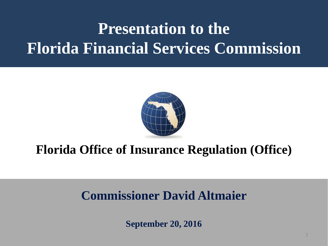# **Presentation to the Florida Financial Services Commission**



## **Florida Office of Insurance Regulation (Office)**

## **Commissioner David Altmaier**

**September 20, 2016**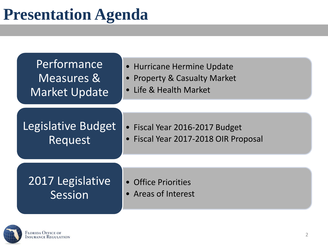

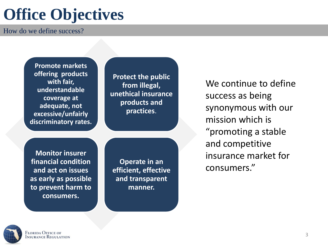# **Office Objectives**

How do we define success?

**Promote markets offering products with fair, understandable coverage at adequate, not excessive/unfairly discriminatory rates.**

**Protect the public from illegal, unethical insurance products and practices**.

**Monitor insurer financial condition and act on issues as early as possible to prevent harm to consumers.**

**Operate in an efficient, effective and transparent manner.**

We continue to define success as being synonymous with our mission which is "promoting a stable and competitive insurance market for consumers."

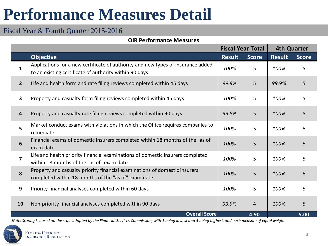# **Performance Measures Detail**

#### Fiscal Year & Fourth Quarter 2015-2016

#### **OIR Performance Measures**

|                |                                                                                                                                            | <b>Fiscal Year Total</b> |              | <b>4th Quarter</b> |              |
|----------------|--------------------------------------------------------------------------------------------------------------------------------------------|--------------------------|--------------|--------------------|--------------|
|                | <b>Objective</b>                                                                                                                           | <b>Result</b>            | <b>Score</b> | <b>Result</b>      | <b>Score</b> |
| 1              | Applications for a new certificate of authority and new types of insurance added<br>to an existing certificate of authority within 90 days | 100%                     | 5            | 100%               | 5            |
| $\overline{2}$ | Life and health form and rate filing reviews completed within 45 days                                                                      | 99.9%                    | 5            | 99.9%              | 5            |
| $\mathbf{3}$   | Property and casualty form filing reviews completed within 45 days                                                                         | 100%                     | 5            | 100%               | 5            |
| 4              | Property and casualty rate filing reviews completed within 90 days                                                                         | 99.8%                    | 5            | 100%               | 5            |
| 5              | Market conduct exams with violations in which the Office requires companies to<br>remediate                                                | 100%                     | 5            |                    | 5            |
| 6              | Financial exams of domestic insurers completed within 18 months of the "as of"<br>exam date                                                | 100%                     | 5            | 100%               | 5            |
| $\overline{7}$ | Life and health priority financial examinations of domestic insurers completed<br>within 18 months of the "as of" exam date                | 100%                     | 5            | 100%               | 5            |
| 8              | Property and casualty priority financial examinations of domestic insurers<br>completed within 18 months of the "as of" exam date          | 5<br>100%                |              | 100%               | 5            |
| 9              | Priority financial analyses completed within 60 days                                                                                       | 5<br>100%                |              | 100%               | 5            |
| 10             | Non-priority financial analyses completed within 90 days                                                                                   | 99.9%                    | 4            | 100%               | 5            |
|                | <b>Overall Score</b>                                                                                                                       |                          | 4.90         |                    | 5.00         |

*[Note: Scoring is based on the scale a](http://www.floir.com/)dopted by the Financial Services Commission, with 1 being lowest and 5 being highest, and each measure of equal weight.*

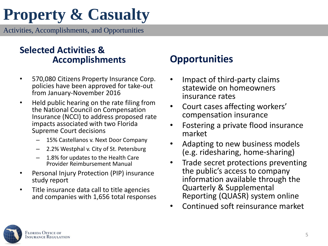# **Property & Casualty**

Activities, Accomplishments, and Opportunities

#### **Selected Activities & Accomplishments**

- 570,080 Citizens Property Insurance Corp. policies have been approved for take-out from January-November 2016
- Held public hearing on the rate filing from the National Council on Compensation Insurance (NCCI) to address proposed rate impacts associated with two Florida Supreme Court decisions
	- 15% Castellanos v. Next Door Company
	- 2.2% Westphal v. City of St. Petersburg
	- 1.8% for updates to the Health Care Provider Reimbursement Manual
- Personal Injury Protection (PIP) insurance study report
- Title insurance data call to title agencies and companies with 1,656 total responses

## **Opportunities**

- Impact of third-party claims statewide on homeowners insurance rates
- Court cases affecting workers' compensation insurance
- Fostering a private flood insurance market
- Adapting to new business models (e.g. ridesharing, home-sharing)
- Trade secret protections preventing the public's access to company information available through the Quarterly & Supplemental Reporting (QUASR) system online
- Continued soft reinsurance market

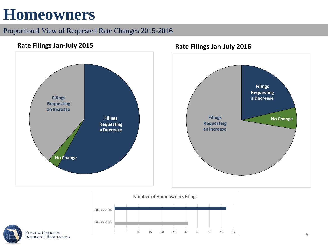## **Homeowners**

#### Proportional View of Requested Rate Changes 2015-2016





**FLORIDA OFFICE OF<br>INSURANCE REGULATION**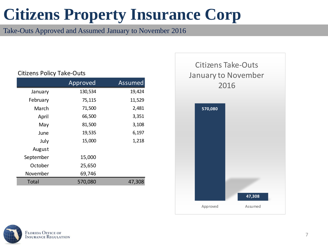# **Citizens Property Insurance Corp**

Take-Outs Approved and Assumed January to November 2016

#### Citizens Policy Take-Outs

|           | Approved | <b>Assumed</b> |
|-----------|----------|----------------|
| January   | 130,534  | 19,424         |
| February  | 75,115   | 11,529         |
| March     | 71,500   | 2,481          |
| April     | 66,500   | 3,351          |
| May       | 81,500   | 3,108          |
| June      | 19,535   | 6,197          |
| July      | 15,000   | 1,218          |
| August    |          |                |
| September | 15,000   |                |
| October   | 25,650   |                |
| November  | 69,746   |                |
| Total     | 570,080  | 47,308         |



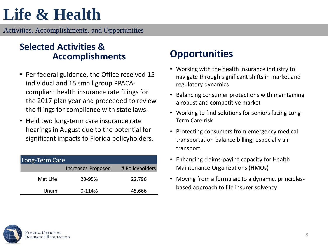# **Life & Health**

Activities, Accomplishments, and Opportunities

#### **Selected Activities & Accomplishments**

- Per federal guidance, the Office received 15 individual and 15 small group PPACAcompliant health insurance rate filings for the 2017 plan year and proceeded to review the filings for compliance with state laws.
- Held two long-term care insurance rate hearings in August due to the potential for significant impacts to Florida policyholders.

| Long-Term Care |                    |                 |  |  |  |  |
|----------------|--------------------|-----------------|--|--|--|--|
|                | Increases Proposed | # Policyholders |  |  |  |  |
| Met Life       | 20-95%             | 22,796          |  |  |  |  |
| Unum           | $0-114%$           | 45,666          |  |  |  |  |

## **Opportunities**

- Working with the health insurance industry to navigate through significant shifts in market and regulatory dynamics
- Balancing consumer protections with maintaining a robust and competitive market
- Working to find solutions for seniors facing Long-Term Care risk
- Protecting consumers from emergency medical transportation balance billing, especially air transport
- Enhancing claims-paying capacity for Health Maintenance Organizations (HMOs)
- Moving from a formulaic to a dynamic, principlesbased approach to life insurer solvency

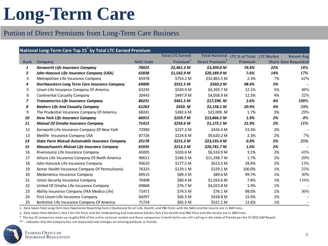# **Long-Term Care**

#### Portion of Direct Premiums from Long-Term Care Business

| National Long-Term Care Top 25 <sup>*</sup> by Total LTC Earned Premium |                                                       |                  |                         |                             |                           |     |                             |
|-------------------------------------------------------------------------|-------------------------------------------------------|------------------|-------------------------|-----------------------------|---------------------------|-----|-----------------------------|
|                                                                         |                                                       |                  | <b>Total LTC Earned</b> | <b>Total National</b>       | LTC % of Total LTC Market |     | <b>Recent Avg</b>           |
| <b>Rank</b>                                                             | Company                                               | <b>NAIC Code</b> | Premium <sup>1</sup>    | Direct Premium <sup>2</sup> | Premium                   |     | <b>Share Rate Requested</b> |
| 1                                                                       | <b>Genworth Life Insurance Company</b>                | 70025            | \$2,461.3 M             | \$3,309.8 M                 | 74.4%                     | 22% | 18%                         |
| 2                                                                       | John Hancock Life Insurance Company (USA)             | 65838            | \$1,542.9 M             | \$20,189.9 M                | 7.6%                      | 14% | 17%                         |
| 3                                                                       | Metropolitan Life Insurance Company                   | 65978            | \$753.2 M               | \$32,865.5 M                | 2.3%                      | 7%  | 62%                         |
| 4                                                                       | Northwestern Long Term Care Insurance Company         | 69000            | \$551.5 M               | \$560.2 M                   | 98.4%                     | 5%  |                             |
| 5                                                                       | Unum Life Insurance Company Of America                | 62235            | \$530.9 M               | \$4,393.7 M                 | 12.1%                     | 5%  | 48%                         |
| 6                                                                       | <b>Continental Casualty Company</b>                   | 20443            | \$497.9 M               | \$4,058.9 M                 | 12.3%                     | 4%  | 32%                         |
| $\overline{z}$                                                          | Transamerica Life Insurance Company                   | 86231            | \$461.5 M               | \$17,590. M                 | 2.6%                      | 4%  | 108%                        |
| 8                                                                       | <b>Bankers Life And Casualty Company</b>              | 61263            | \$450. M                | \$2,158.1 M                 | 20.9%                     | 4%  | 33%                         |
| 9                                                                       | The Prudential Insurance Company Of America           | 68241            | \$382.6 M               | \$22,009. M                 | 1.7%                      | 3%  | 29%                         |
| 10                                                                      | <b>New York Life Insurance Company</b>                | 66915            | \$259.7 M               | \$13,866.5 M                | 1.9%                      | 2%  | 4%                          |
| 11                                                                      | <b>Mutual Of Omaha Insurance Company</b>              | 71412            | \$256.6 M               | \$1,172.1 M                 | 21.9%                     | 2%  | 11%                         |
| 12                                                                      | Genworth Life Insurance Company Of New York           | 72990            | \$227.2 M               | \$426.4 M                   | 53.3%                     | 2%  |                             |
| 13                                                                      | Metlife Insurance Company USA                         | 87726            | \$224.6 M               | \$9,620.2 M                 | 2.3%                      | 2%  | 7%                          |
| 14                                                                      | <b>State Farm Mutual Automobile Insurance Company</b> | 25178            | \$215.3 M               | \$23,535.4 M                | 0.9%                      | 2%  | 25%                         |
| 15                                                                      | <b>Massachusetts Mutual Life Insurance Company</b>    | 65935            | \$212.3 M               | \$20,741.7 M                | 1.0%                      | 2%  |                             |
| 16                                                                      | Riversource Life Insurance Company                    | 65005            | \$203.6 M               | \$6,533.9 M                 | 3.1%                      | 2%  | 43%                         |
| 17                                                                      | Allianz Life Insurance Company Of North America       | 90611            | \$186.5 M               | \$11,298.7 M                | 1.7%                      | 2%  | 20%                         |
| 18                                                                      | John Hancock Life Insurance Company                   | 93610            | \$177.5 M               | \$613.5 M                   | 28.9%                     | 2%  | 13%                         |
| 19                                                                      | Senior Health Insurance Company Of Pennsylvania       | 76325            | \$129.1 M               | \$129.1 M                   | 100.0%                    | 1%  | 25%                         |
| 20                                                                      | Medamerica Insurance Company                          | 69515            | \$89.3 M                | \$89.6 M                    | 99.7%                     | 1%  | 30%                         |
| 21                                                                      | Union Security Insurance Company                      | 70408            | \$80.4 M                | \$1,033.6 M                 | 7.8%                      | 1%  | 116%                        |
| 22                                                                      | United Of Omaha Life Insurance Company                | 69868            | \$76.7 M                | \$4,023.8 M                 | 1.9%                      | 1%  |                             |
| 23                                                                      | Ability Insurance Company (FKA Medico Life)           | 71471            | \$74.5 M                | \$76.1 M                    | 98.0%                     | 1%  | 36%                         |
| 24                                                                      | First Unum Life Insurance Company                     | 64297            | \$66.5 M                | \$418.8 M                   | 15.9%                     | 1%  |                             |
| 25                                                                      | Berkshire Life Insurance Company Of America           | 71714            | \$65.5 M                | \$521.1 M                   | 12.6%                     | 1%  |                             |

1. Data taken from Long-Term Care Experience Reporting Form 2 (Summary) for all Life, Health, and P&C filers with the NAIC and the results are in \$Millions.

2. Data taken from Exhibit 1, Part 1 for life filers and the Underwriting and Investment Exhibit, Part 2 for health and P&C filers and the results are in \$Millions.

\* The top 25 companies make up roughly 91% of the entire national market and those companies in bold italics are still selling in the state of Florida per the CY 2015 GAP Report.

[\\*\\* - Indicates that the company has n](http://www.floir.com/)ot requested rate changes on existing products in Florida.

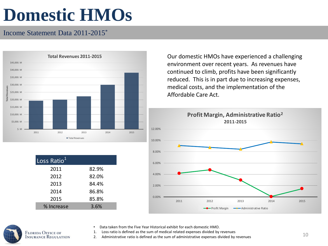# **Domestic HMOs**

#### Income Statement Data 2011-2015\*



| Loss Ratio <sup>1</sup> |       |
|-------------------------|-------|
| 2011                    | 82.9% |
| 2012                    | 82.0% |
| 2013                    | 84.4% |
| 2014                    | 86.8% |
| 2015                    | 85.8% |
| % Increase              | 3.6%  |

Our domestic HMOs have experienced a challenging environment over recent years. As revenues have continued to climb, profits have been significantly reduced. This is in part due to increasing expenses, medical costs, and the implementation of the Affordable Care Act.





• Data taken from the Five Year Historical exhibit for each domestic HMO.

1. Loss ratio is defined as the sum of medical related expenses divided by revenues

2. Administrative ratio is defined as the sum of administrative expenses divided by revenues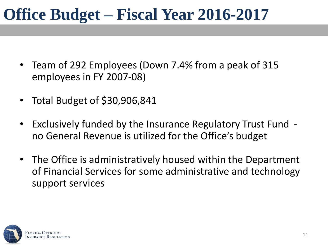## **Office Budget – Fiscal Year 2016-2017**

- Team of 292 Employees (Down 7.4% from a peak of 315 employees in FY 2007-08)
- Total Budget of \$30,906,841
- Exclusively funded by the Insurance Regulatory Trust Fund no General Revenue is utilized for the Office's budget
- The Office is administratively housed within the Department of Financial Services for some administrative and technology support services

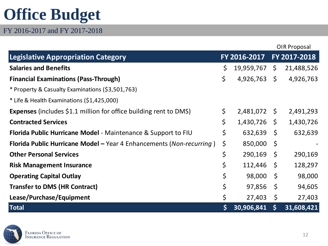# **Office Budget**

FY 2016-2017 and FY 2017-2018

|                                                                          |    |              |              | OIR Proposal |  |
|--------------------------------------------------------------------------|----|--------------|--------------|--------------|--|
| <b>Legislative Appropriation Category</b>                                |    | FY 2016-2017 |              | FY 2017-2018 |  |
| <b>Salaries and Benefits</b>                                             | \$ | 19,959,767   | $\zeta$      | 21,488,526   |  |
| <b>Financial Examinations (Pass-Through)</b>                             | \$ | 4,926,763    | $\zeta$      | 4,926,763    |  |
| * Property & Casualty Examinations (\$3,501,763)                         |    |              |              |              |  |
| * Life & Health Examinations (\$1,425,000)                               |    |              |              |              |  |
| <b>Expenses</b> (includes \$1.1 million for office building rent to DMS) | \$ | 2,481,072    | $\mathsf{S}$ | 2,491,293    |  |
| <b>Contracted Services</b>                                               | \$ | 1,430,726    | \$           | 1,430,726    |  |
| Florida Public Hurricane Model - Maintenance & Support to FIU            | \$ | 632,639      | $\zeta$      | 632,639      |  |
| Florida Public Hurricane Model - Year 4 Enhancements (Non-recurring)     | \$ | 850,000      | \$           |              |  |
| <b>Other Personal Services</b>                                           | \$ | 290,169      | \$           | 290,169      |  |
| <b>Risk Management Insurance</b>                                         | \$ | 112,446      | -\$          | 128,297      |  |
| <b>Operating Capital Outlay</b>                                          | \$ | 98,000       | -\$          | 98,000       |  |
| <b>Transfer to DMS (HR Contract)</b>                                     | \$ | 97,856       | -\$          | 94,605       |  |
| Lease/Purchase/Equipment                                                 | \$ | 27,403       | $\zeta$      | 27,403       |  |
| <b>Total</b>                                                             | \$ | 30,906,841   | $\mathsf{S}$ | 31,608,421   |  |

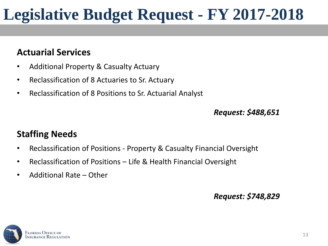# **Legislative Budget Request - FY 2017-2018**

### **Actuarial Services**

- Additional Property & Casualty Actuary
- Reclassification of 8 Actuaries to Sr. Actuary
- Reclassification of 8 Positions to Sr. Actuarial Analyst

*Request: \$488,651* 

### **Staffing Needs**

- Reclassification of Positions Property & Casualty Financial Oversight
- Reclassification of Positions Life & Health Financial Oversight
- Additional Rate Other

#### *Request: \$748,829*